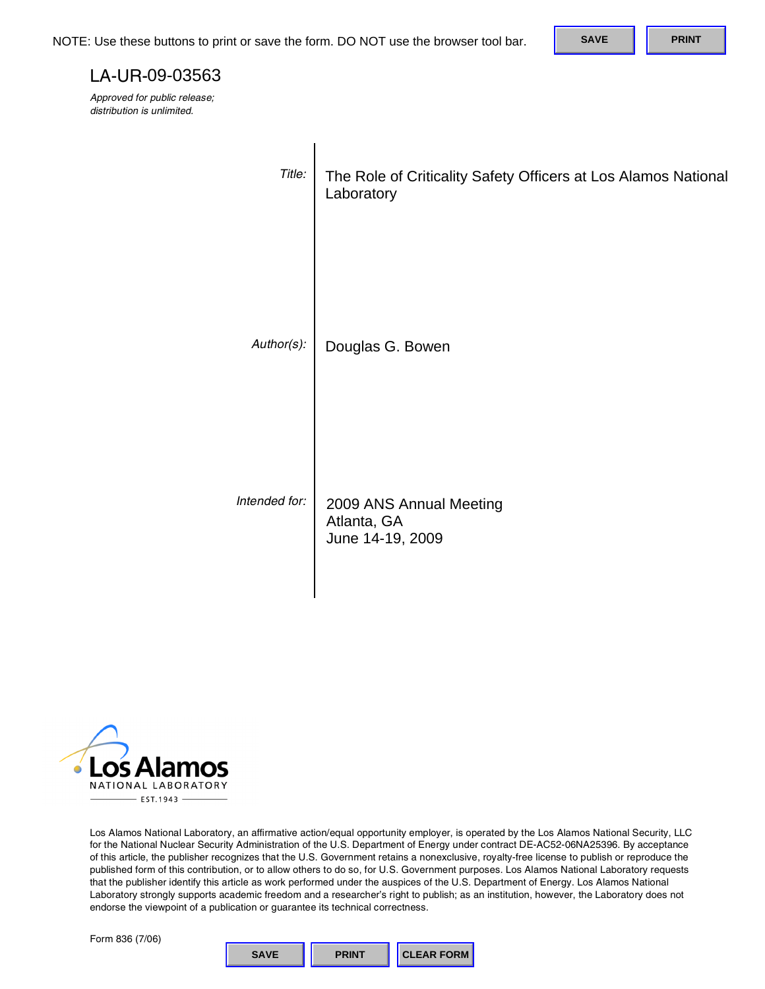#### LA-UR-09-03563

| NOTE: Use these buttons to print or save the form. DO NOT use the browser tool bar.                                                                                                                                                                                                                                                                             |                                                                          |                  |                         |  | <b>SAVE</b> | <b>PRINT</b> |
|-----------------------------------------------------------------------------------------------------------------------------------------------------------------------------------------------------------------------------------------------------------------------------------------------------------------------------------------------------------------|--------------------------------------------------------------------------|------------------|-------------------------|--|-------------|--------------|
| LA-UR-09-03563                                                                                                                                                                                                                                                                                                                                                  |                                                                          |                  |                         |  |             |              |
| Approved for public release;<br>distribution is unlimited.                                                                                                                                                                                                                                                                                                      |                                                                          |                  |                         |  |             |              |
|                                                                                                                                                                                                                                                                                                                                                                 |                                                                          |                  |                         |  |             |              |
|                                                                                                                                                                                                                                                                                                                                                                 | Title:<br>The Role of Criticality Safety Officers at Los Alamos National |                  |                         |  |             |              |
|                                                                                                                                                                                                                                                                                                                                                                 |                                                                          | Laboratory       |                         |  |             |              |
|                                                                                                                                                                                                                                                                                                                                                                 |                                                                          |                  |                         |  |             |              |
|                                                                                                                                                                                                                                                                                                                                                                 |                                                                          |                  |                         |  |             |              |
|                                                                                                                                                                                                                                                                                                                                                                 |                                                                          |                  |                         |  |             |              |
|                                                                                                                                                                                                                                                                                                                                                                 | Author(s):                                                               |                  | Douglas G. Bowen        |  |             |              |
|                                                                                                                                                                                                                                                                                                                                                                 |                                                                          |                  |                         |  |             |              |
|                                                                                                                                                                                                                                                                                                                                                                 |                                                                          |                  |                         |  |             |              |
|                                                                                                                                                                                                                                                                                                                                                                 |                                                                          |                  |                         |  |             |              |
|                                                                                                                                                                                                                                                                                                                                                                 |                                                                          |                  |                         |  |             |              |
|                                                                                                                                                                                                                                                                                                                                                                 | Intended for:                                                            | Atlanta, GA      | 2009 ANS Annual Meeting |  |             |              |
|                                                                                                                                                                                                                                                                                                                                                                 |                                                                          | June 14-19, 2009 |                         |  |             |              |
|                                                                                                                                                                                                                                                                                                                                                                 |                                                                          |                  |                         |  |             |              |
|                                                                                                                                                                                                                                                                                                                                                                 |                                                                          |                  |                         |  |             |              |
|                                                                                                                                                                                                                                                                                                                                                                 |                                                                          |                  |                         |  |             |              |
|                                                                                                                                                                                                                                                                                                                                                                 |                                                                          |                  |                         |  |             |              |
|                                                                                                                                                                                                                                                                                                                                                                 |                                                                          |                  |                         |  |             |              |
|                                                                                                                                                                                                                                                                                                                                                                 |                                                                          |                  |                         |  |             |              |
| <b>Los Alamos</b>                                                                                                                                                                                                                                                                                                                                               |                                                                          |                  |                         |  |             |              |
| NATIONAL LABORATORY<br>$-$ EST.1943 $-$                                                                                                                                                                                                                                                                                                                         |                                                                          |                  |                         |  |             |              |
| Los Alamos National Laboratory, an affirmative action/equal opportunity employer, is operated by the Los Alamos National Security, LLC<br>for the National Nuclear Security Administration of the U.S. Department of Energy under contract DE-AC52-06NA25396. By acceptance                                                                                     |                                                                          |                  |                         |  |             |              |
| of this article, the publisher recognizes that the U.S. Government retains a nonexclusive, royalty-free license to publish or reproduce the<br>published form of this contribution, or to allow others to do so, for U.S. Government purposes. Los Alamos National Laboratory requests                                                                          |                                                                          |                  |                         |  |             |              |
| that the publisher identify this article as work performed under the auspices of the U.S. Department of Energy. Los Alamos National<br>Laboratory strongly supports academic freedom and a researcher's right to publish; as an institution, however, the Laboratory does not<br>endorse the viewpoint of a publication or guarantee its technical correctness. |                                                                          |                  |                         |  |             |              |
| Form 836 (7/06)                                                                                                                                                                                                                                                                                                                                                 |                                                                          |                  |                         |  |             |              |
|                                                                                                                                                                                                                                                                                                                                                                 | <b>SAVE</b>                                                              | <b>PRINT</b>     | <b>CLEAR FORM</b>       |  |             |              |



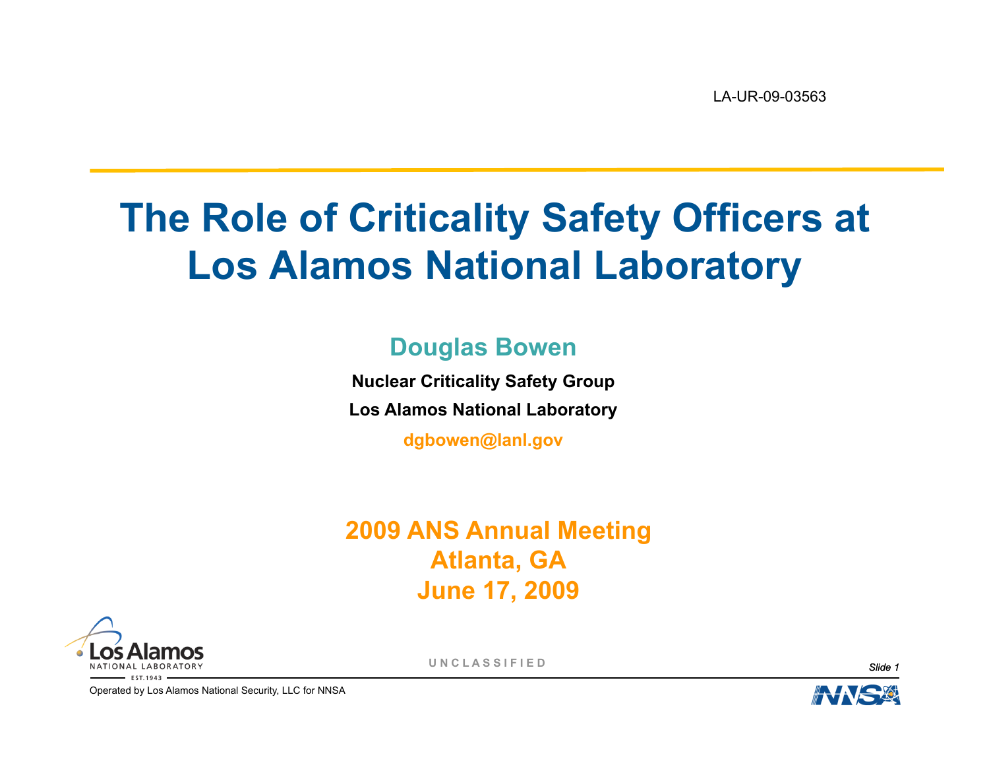LA-UR-09-03563

### **The Role of Criticality Safety Officers at Los Alamos National Laboratory**

#### **Douglas Bowen**

**Nuclear Criticality Safety Group Los Alamos National Laboratory** 

**dgbowen@lanl.gov**

#### **2009 ANS Annual Meeting Atlanta, GA June 17, 2009**



**U N C L A S S I F I E D** *Slide 1* 

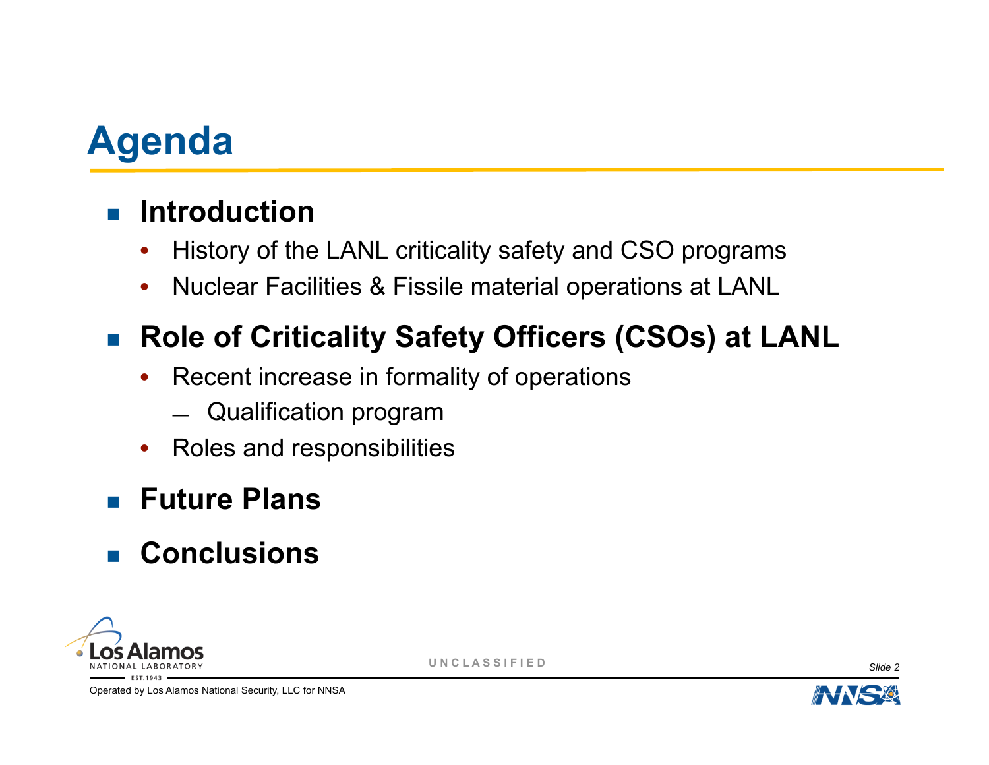

#### $\blacksquare$  Introduction

- History of the LANL criticality safety and CSO programs
- Nuclear Facilities & Fissile material operations at LANL

### ■ Role of Criticality Safety Officers (CSOs) at LANL

- Recent increase in formality of operations
	- Qualification program
- Roles and responsibilities

#### ! **Future Plans**

#### ! **Conclusions**



**U N C L A S S I F I E D** *Slide 2* 

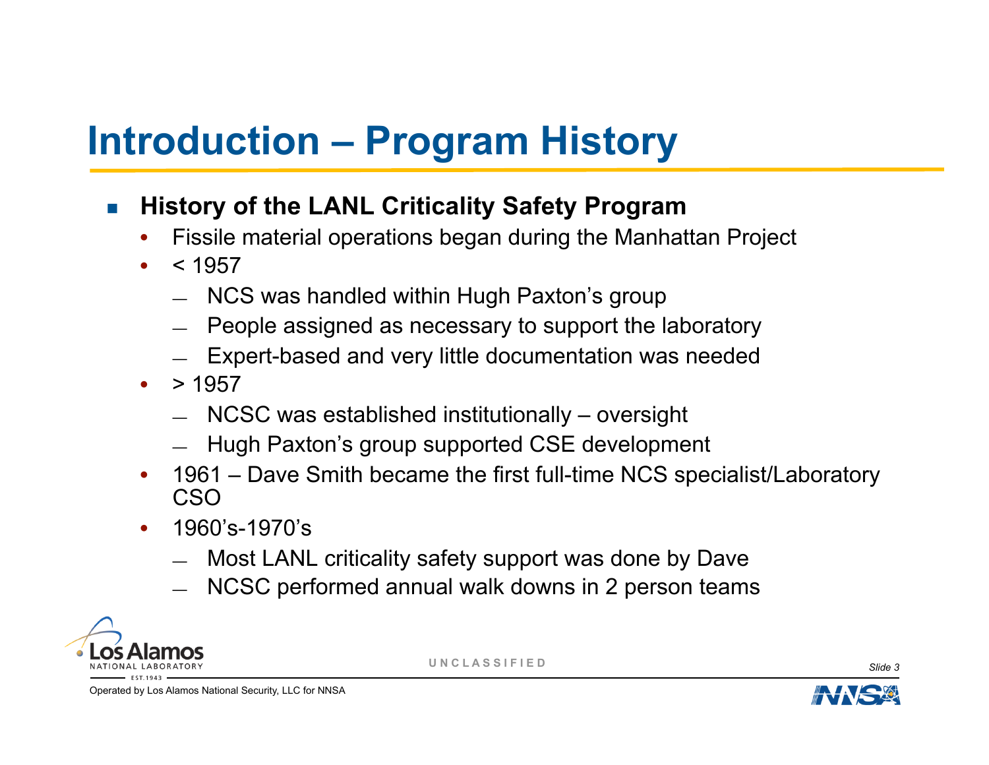# **Introduction – Program History**

- **EXTERNIFF IS A History of the LANL Criticality Safety Program** 
	- Fissile material operations began during the Manhattan Project
	- $< 1957$ 
		- NCS was handled within Hugh Paxton's group
		- People assigned as necessary to support the laboratory
		- Expert-based and very little documentation was needed
	- $\bullet$  > 1957
		- NCSC was established institutionally oversight
		- Hugh Paxton's group supported CSE development
	- 1961 Dave Smith became the first full-time NCS specialist/Laboratory CSO
	- 1960's-1970's
		- Most LANL criticality safety support was done by Dave
		- NCSC performed annual walk downs in 2 person teams



**U N C L A S S I F I E D** *Slide 3* 

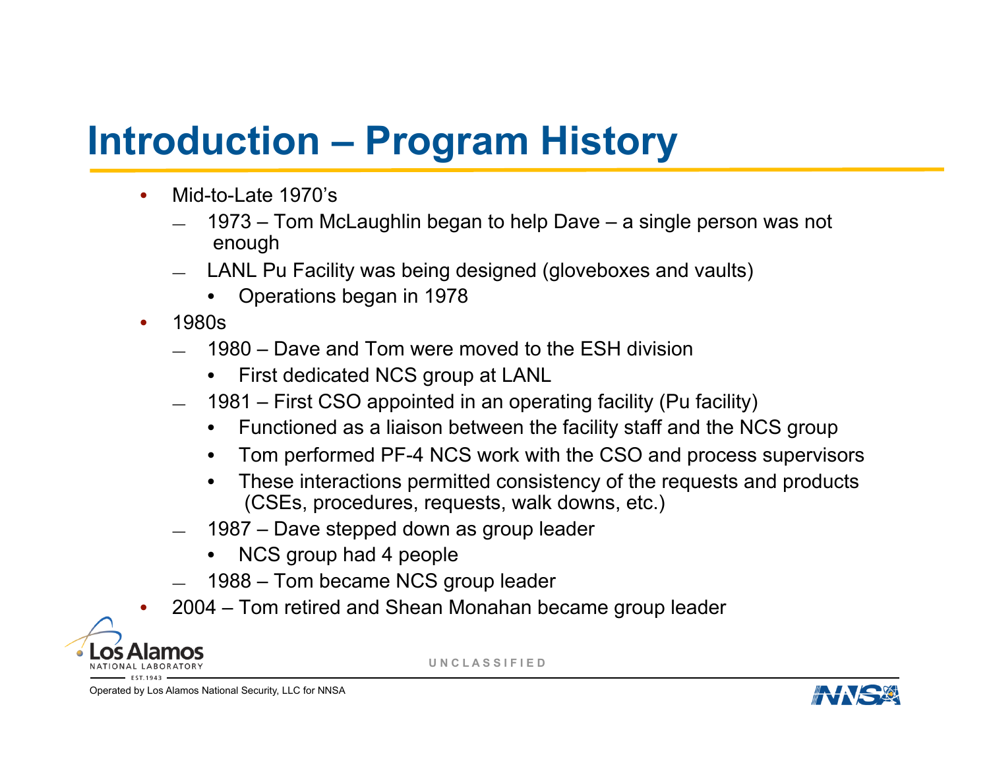# **Introduction – Program History**

- Mid-to-Late 1970's
	- 1973 Tom McLaughlin began to help Dave a single person was not enough
	- LANL Pu Facility was being designed (gloveboxes and vaults)
		- Operations began in 1978
- 1980s
	- 1980 Dave and Tom were moved to the ESH division
		- First dedicated NCS group at LANL
	- 1981 First CSO appointed in an operating facility (Pu facility)
		- Functioned as a liaison between the facility staff and the NCS group
		- Tom performed PF-4 NCS work with the CSO and process supervisors
		- These interactions permitted consistency of the requests and products (CSEs, procedures, requests, walk downs, etc.)
	- 1987 Dave stepped down as group leader
		- NCS group had 4 people
	- 1988 Tom became NCS group leader
	- 2004 Tom retired and Shean Monahan became group leader



**U N C L A S S I F I E D**

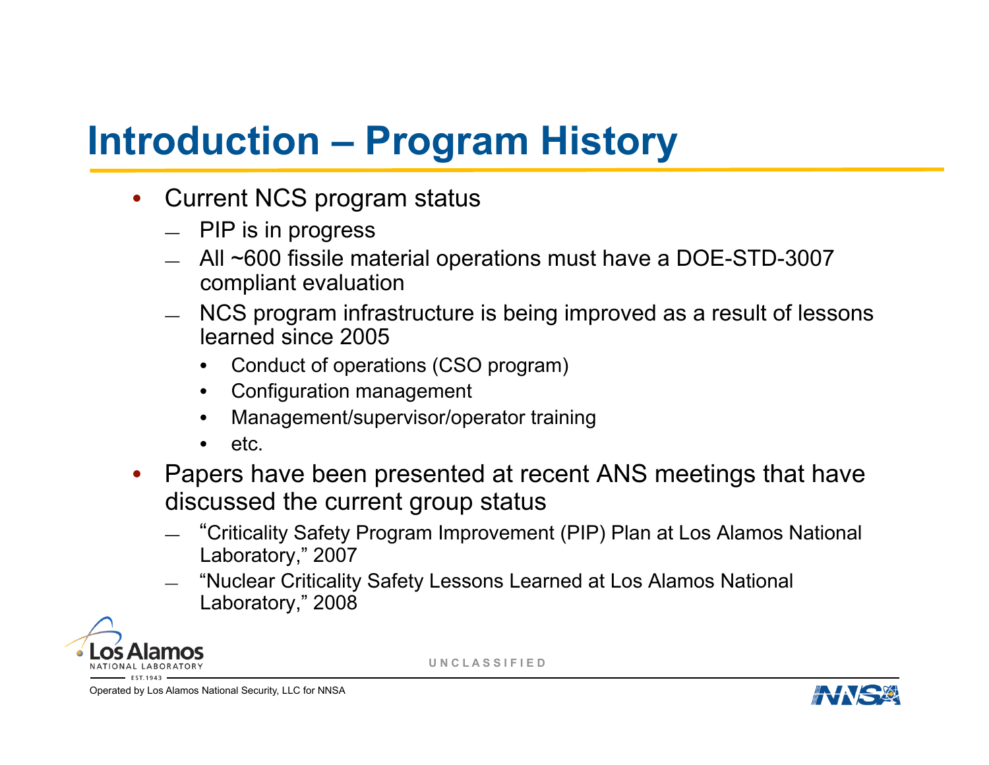## **Introduction – Program History**

- Current NCS program status
	- PIP is in progress
	- All ~600 fissile material operations must have a DOE-STD-3007 compliant evaluation
	- NCS program infrastructure is being improved as a result of lessons learned since 2005
		- Conduct of operations (CSO program)
		- Configuration management
		- Management/supervisor/operator training
		- etc.
- Papers have been presented at recent ANS meetings that have discussed the current group status
	- "Criticality Safety Program Improvement (PIP) Plan at Los Alamos National Laboratory," 2007
	- "Nuclear Criticality Safety Lessons Learned at Los Alamos National Laboratory," 2008



**U N C L A S S I F I E D**

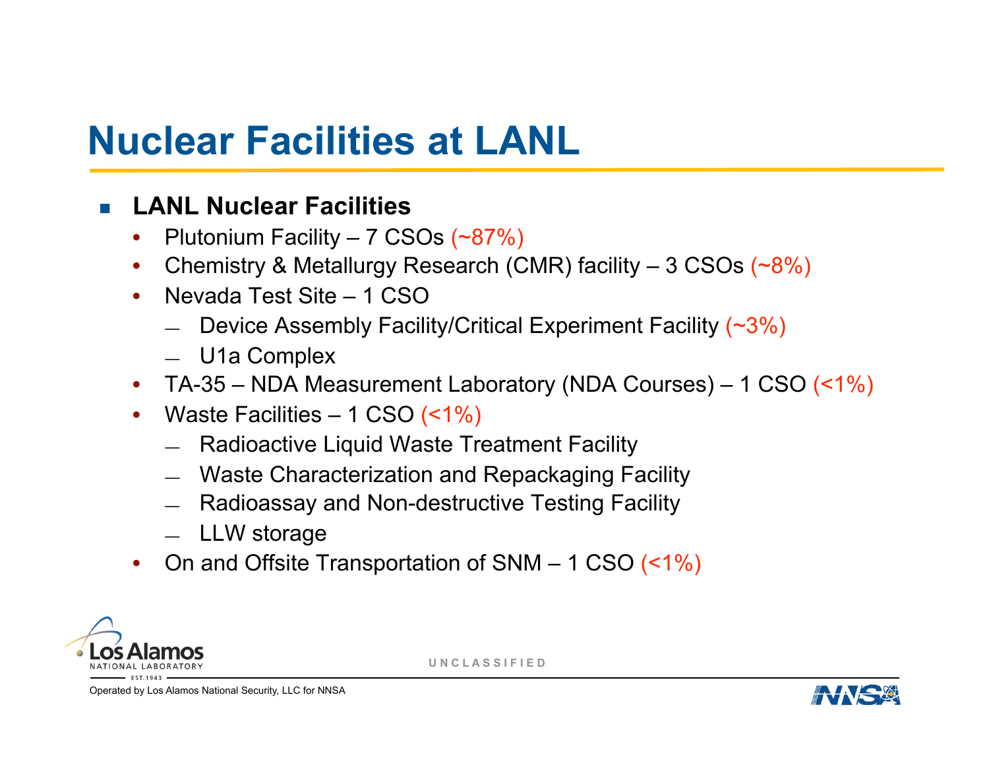## **Nuclear Facilities at LANL**

#### ! **LANL Nuclear Facilities**

- Plutonium Facility 7 CSOs (~87%)
- Chemistry & Metallurgy Research (CMR) facility 3 CSOs (~8%)
- Nevada Test Site 1 CSO
	- Device Assembly Facility/Critical Experiment Facility  $(~3%)$
	- U1a Complex
- TA-35 NDA Measurement Laboratory (NDA Courses) 1 CSO (<1%)
- Waste Facilities  $-1$  CSO (<1%)
	- Radioactive Liquid Waste Treatment Facility
	- Waste Characterization and Repackaging Facility
	- Radioassay and Non-destructive Testing Facility
	- LLW storage
- On and Offsite Transportation of SNM 1 CSO (<1%)



**U N C L A S S I F I E D**

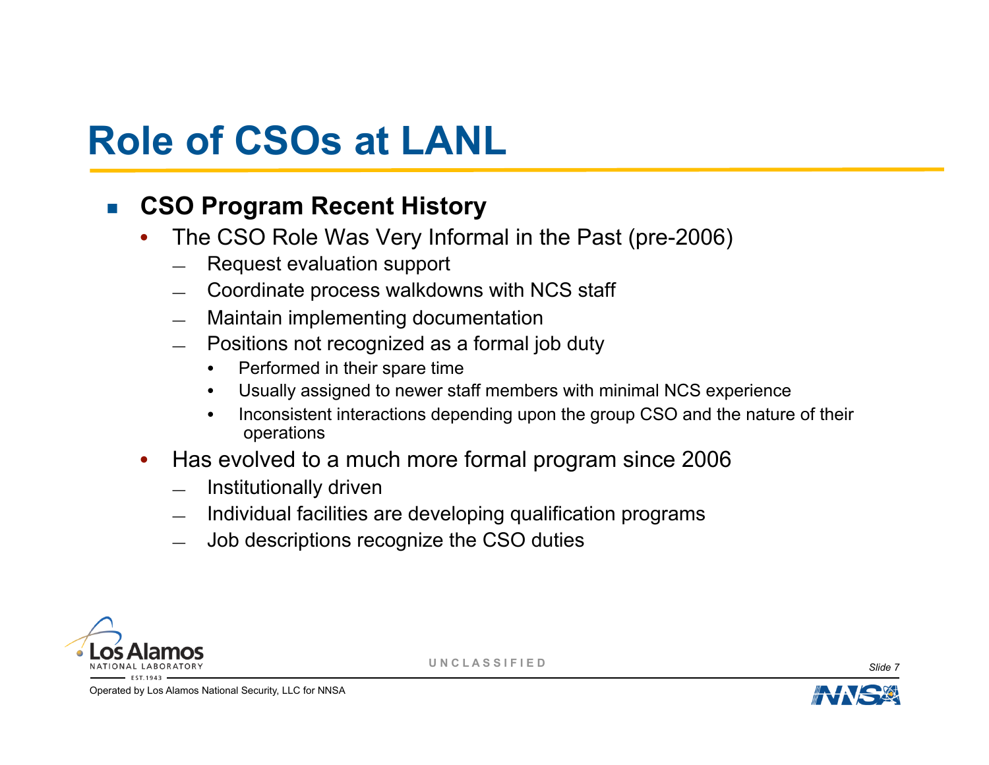#### ! **CSO Program Recent History**

- The CSO Role Was Very Informal in the Past (pre-2006)
	- Request evaluation support
	- Coordinate process walkdowns with NCS staff
	- Maintain implementing documentation
	- Positions not recognized as a formal job duty
		- Performed in their spare time
		- Usually assigned to newer staff members with minimal NCS experience
		- Inconsistent interactions depending upon the group CSO and the nature of their operations
- Has evolved to a much more formal program since 2006
	- Institutionally driven
	- Individual facilities are developing qualification programs
	- Job descriptions recognize the CSO duties



**U N C L A S S I F I E D** *Slide 7* 

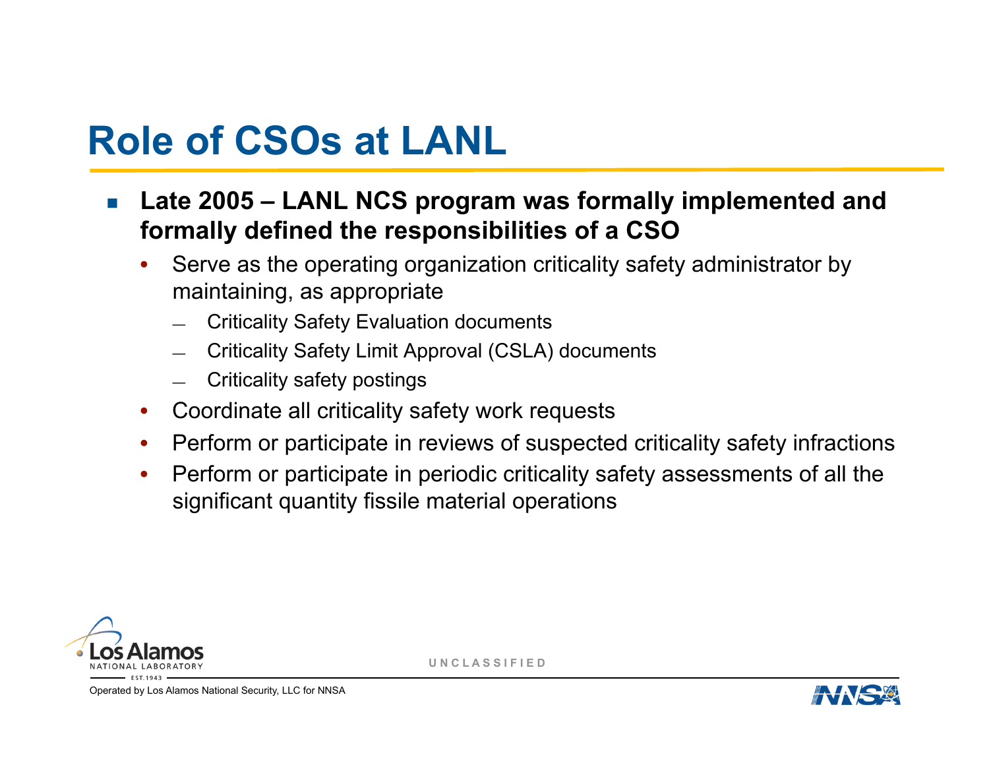- ! **Late 2005 LANL NCS program was formally implemented and formally defined the responsibilities of a CSO** 
	- Serve as the operating organization criticality safety administrator by maintaining, as appropriate
		- Criticality Safety Evaluation documents
		- Criticality Safety Limit Approval (CSLA) documents
		- Criticality safety postings
	- Coordinate all criticality safety work requests
	- Perform or participate in reviews of suspected criticality safety infractions
	- Perform or participate in periodic criticality safety assessments of all the significant quantity fissile material operations



**U N C L A S S I F I E D**

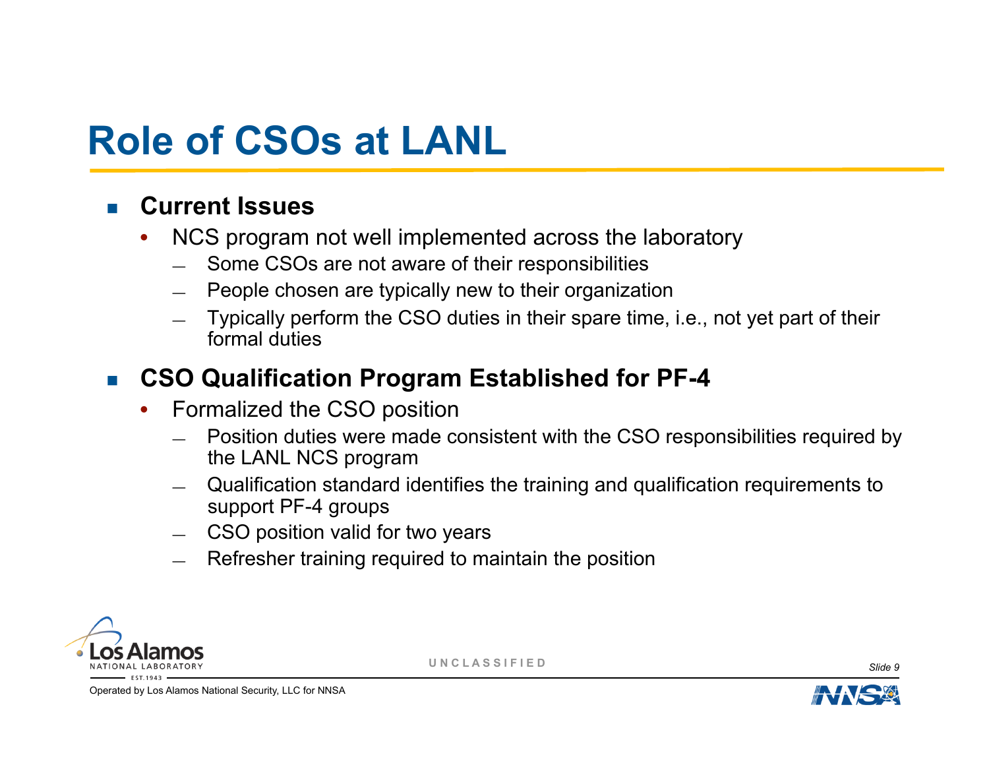#### ! **Current Issues**

- NCS program not well implemented across the laboratory
	- Some CSOs are not aware of their responsibilities
	- People chosen are typically new to their organization
	- Typically perform the CSO duties in their spare time, i.e., not yet part of their formal duties

#### ■ CSO Qualification Program Established for PF-4

- Formalized the CSO position
	- Position duties were made consistent with the CSO responsibilities required by the LANL NCS program
	- Qualification standard identifies the training and qualification requirements to support PF-4 groups
	- CSO position valid for two years
	- Refresher training required to maintain the position



**U N C L A S S I F I E D** *Slide 9* 

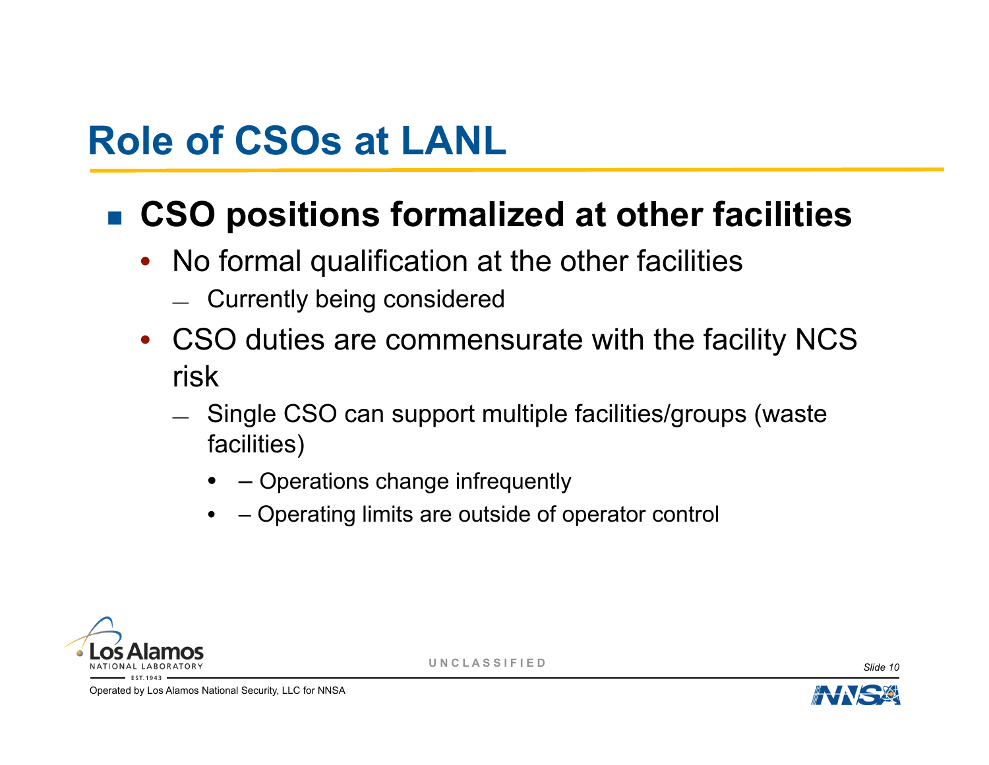### ■ CSO positions formalized at other facilities

- No formal qualification at the other facilities
	- Currently being considered
- CSO duties are commensurate with the facility NCS risk
	- Single CSO can support multiple facilities/groups (waste facilities)
		- $\rightarrow$  Operations change infrequently
		- – Operating limits are outside of operator control



**U N C L A S S I F I E D** *Slide 10* 

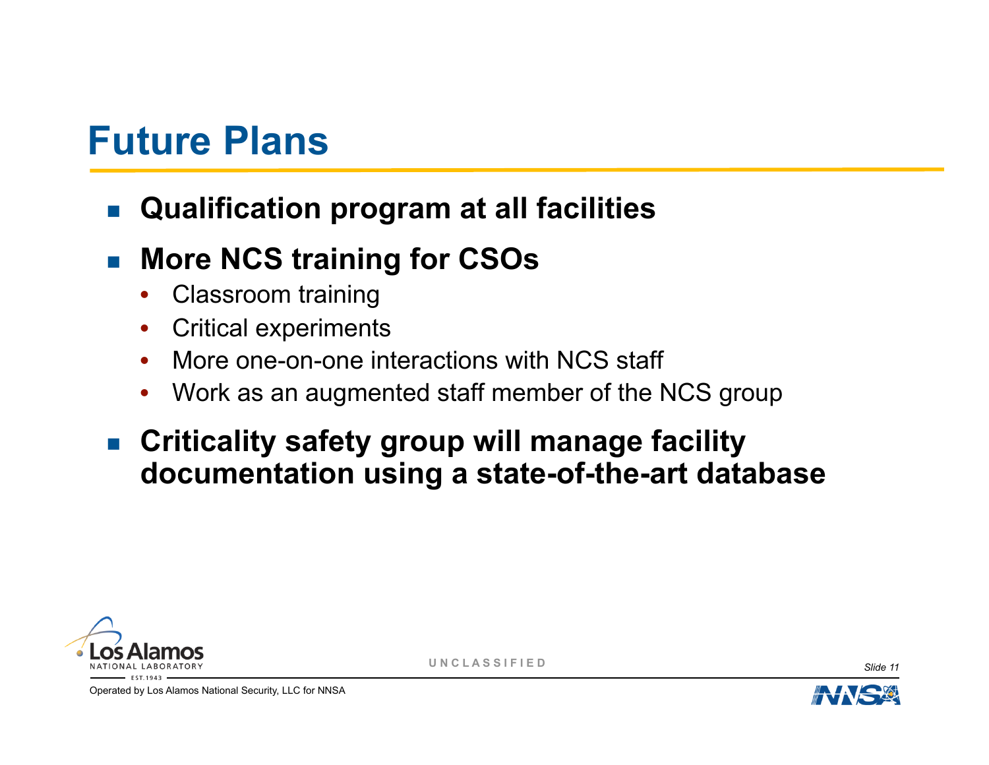### **Future Plans**

! **Qualification program at all facilities** 

### ! **More NCS training for CSOs**

- Classroom training
- Critical experiments
- More one-on-one interactions with NCS staff
- Work as an augmented staff member of the NCS group
- **EXED III Criticality safety group will manage facility documentation using a state-of-the-art database**



**U N C L A S S I F I E D** *Slide 11*